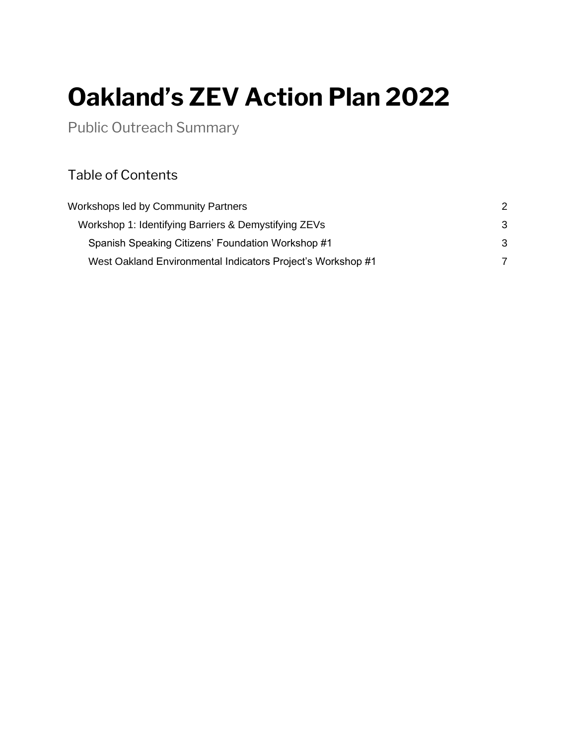# **Oakland's ZEV Action Plan 2022**

Public Outreach Summary

## Table of Contents

| Workshops led by Community Partners<br>Workshop 1: Identifying Barriers & Demystifying ZEVs<br>Spanish Speaking Citizens' Foundation Workshop #1<br>West Oakland Environmental Indicators Project's Workshop #1 | 2<br>3<br>3 |  |
|-----------------------------------------------------------------------------------------------------------------------------------------------------------------------------------------------------------------|-------------|--|
|                                                                                                                                                                                                                 |             |  |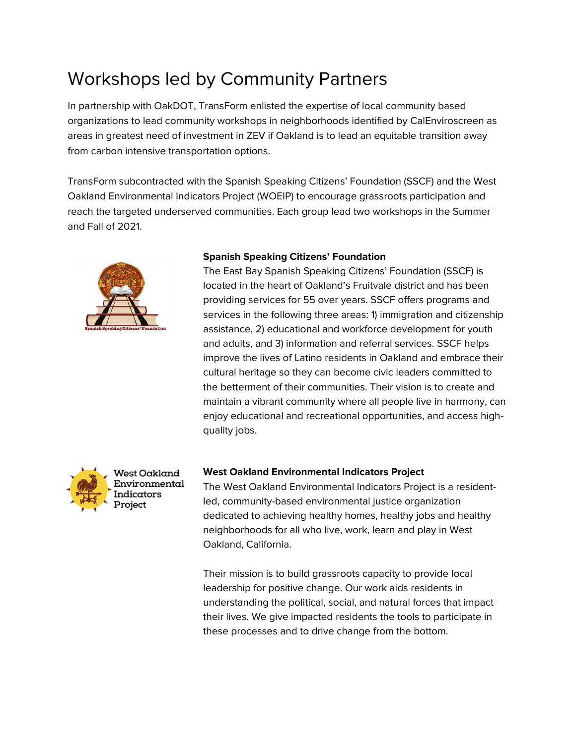# <span id="page-1-0"></span>Workshops led by Community Partners

In partnership with OakDOT, TransForm enlisted the expertise of local community based organizations to lead community workshops in neighborhoods identified by CalEnviroscreen as areas in greatest need of investment in ZEV if Oakland is to lead an equitable transition away from carbon intensive transportation options.

TransForm subcontracted with the Spanish Speaking Citizens' Foundation (SSCF) and the West Oakland Environmental Indicators Project (WOEIP) to encourage grassroots participation and reach the targeted underserved communities. Each group lead two workshops in the Summer and Fall of 2021.



#### **Spanish Speaking Citizens' Foundation**

The East Bay Spanish Speaking Citizens' Foundation (SSCF) is located in the heart of Oakland's Fruitvale district and has been providing services for 55 over years. SSCF offers programs and services in the following three areas: 1) immigration and citizenship assistance, 2) educational and workforce development for youth and adults, and 3) information and referral services. SSCF helps improve the lives of Latino residents in Oakland and embrace their cultural heritage so they can become civic leaders committed to the betterment of their communities. Their vision is to create and maintain a vibrant community where all people live in harmony, can enjoy educational and recreational opportunities, and access highquality jobs.



#### **West Oakland Environmental Indicators Project**

The West Oakland Environmental Indicators Project is a residentled, community-based environmental justice organization dedicated to achieving healthy homes, healthy jobs and healthy neighborhoods for all who live, work, learn and play in West Oakland, California.

Their mission is to build grassroots capacity to provide local leadership for positive change. Our work aids residents in understanding the political, social, and natural forces that impact their lives. We give impacted residents the tools to participate in these processes and to drive change from the bottom.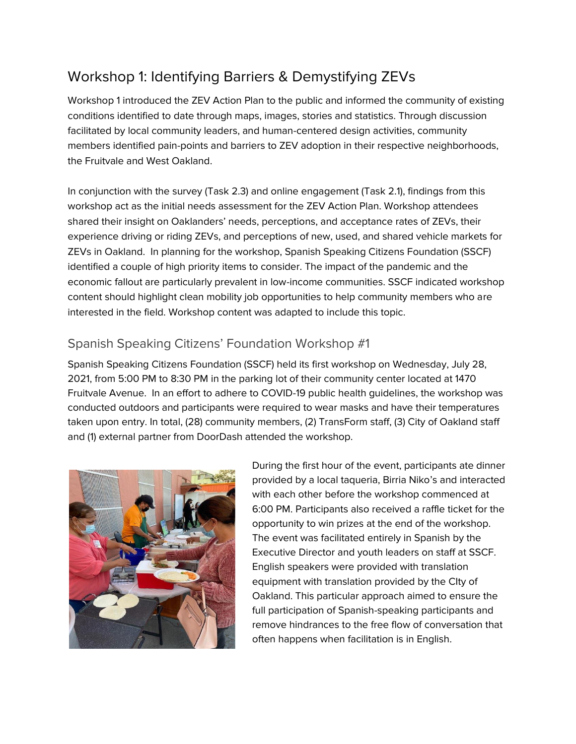# <span id="page-2-0"></span>Workshop 1: Identifying Barriers & Demystifying ZEVs

Workshop 1 introduced the ZEV Action Plan to the public and informed the community of existing conditions identified to date through maps, images, stories and statistics. Through discussion facilitated by local community leaders, and human-centered design activities, community members identified pain-points and barriers to ZEV adoption in their respective neighborhoods, the Fruitvale and West Oakland.

In conjunction with the survey (Task 2.3) and online engagement (Task 2.1), findings from this workshop act as the initial needs assessment for the ZEV Action Plan. Workshop attendees shared their insight on Oaklanders' needs, perceptions, and acceptance rates of ZEVs, their experience driving or riding ZEVs, and perceptions of new, used, and shared vehicle markets for ZEVs in Oakland. In planning for the workshop, Spanish Speaking Citizens Foundation (SSCF) identified a couple of high priority items to consider. The impact of the pandemic and the economic fallout are particularly prevalent in low-income communities. SSCF indicated workshop content should highlight clean mobility job opportunities to help community members who are interested in the field. Workshop content was adapted to include this topic.

### <span id="page-2-1"></span>Spanish Speaking Citizens' Foundation Workshop #1

Spanish Speaking Citizens Foundation (SSCF) held its first workshop on Wednesday, July 28, 2021, from 5:00 PM to 8:30 PM in the parking lot of their community center located at 1470 Fruitvale Avenue. In an effort to adhere to COVID-19 public health guidelines, the workshop was conducted outdoors and participants were required to wear masks and have their temperatures taken upon entry. In total, (28) community members, (2) TransForm staff, (3) City of Oakland staff and (1) external partner from DoorDash attended the workshop.



During the first hour of the event, participants ate dinner provided by a local taqueria, Birria Niko's and interacted with each other before the workshop commenced at 6:00 PM. Participants also received a raffle ticket for the opportunity to win prizes at the end of the workshop. The event was facilitated entirely in Spanish by the Executive Director and youth leaders on staff at SSCF. English speakers were provided with translation equipment with translation provided by the CIty of Oakland. This particular approach aimed to ensure the full participation of Spanish-speaking participants and remove hindrances to the free flow of conversation that often happens when facilitation is in English.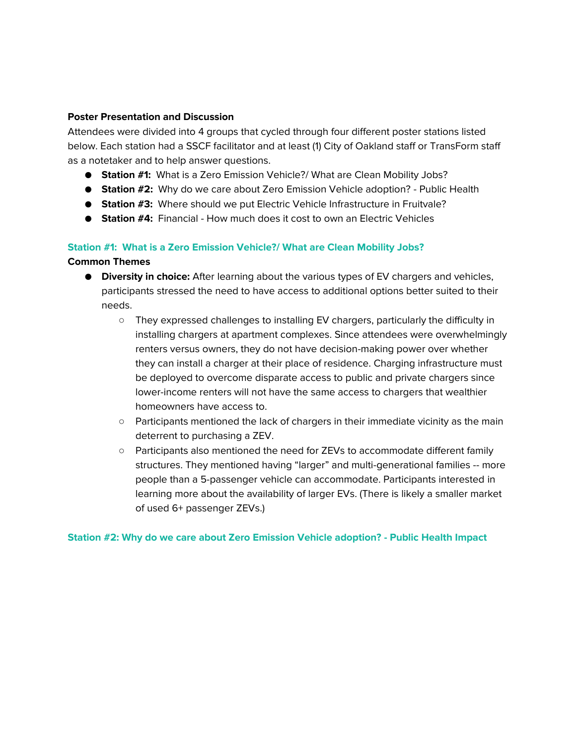#### **Poster Presentation and Discussion**

Attendees were divided into 4 groups that cycled through four different poster stations listed below. Each station had a SSCF facilitator and at least (1) City of Oakland staff or TransForm staff as a notetaker and to help answer questions.

- **Station #1:** What is a Zero Emission Vehicle?/ What are Clean Mobility Jobs?
- **Station #2:** Why do we care about Zero Emission Vehicle adoption? Public Health
- **Station #3:** Where should we put Electric Vehicle Infrastructure in Fruitvale?
- **Station #4:** Financial How much does it cost to own an Electric Vehicles

#### **Station #1: What is a Zero Emission Vehicle?/ What are Clean Mobility Jobs?**

#### **Common Themes**

- **Diversity in choice:** After learning about the various types of EV chargers and vehicles, participants stressed the need to have access to additional options better suited to their needs.
	- They expressed challenges to installing EV chargers, particularly the difficulty in installing chargers at apartment complexes. Since attendees were overwhelmingly renters versus owners, they do not have decision-making power over whether they can install a charger at their place of residence. Charging infrastructure must be deployed to overcome disparate access to public and private chargers since lower-income renters will not have the same access to chargers that wealthier homeowners have access to.
	- $\circ$  Participants mentioned the lack of chargers in their immediate vicinity as the main deterrent to purchasing a ZEV.
	- Participants also mentioned the need for ZEVs to accommodate different family structures. They mentioned having "larger" and multi-generational families -- more people than a 5-passenger vehicle can accommodate. Participants interested in learning more about the availability of larger EVs. (There is likely a smaller market of used 6+ passenger ZEVs.)

**Station #2: Why do we care about Zero Emission Vehicle adoption? - Public Health Impact**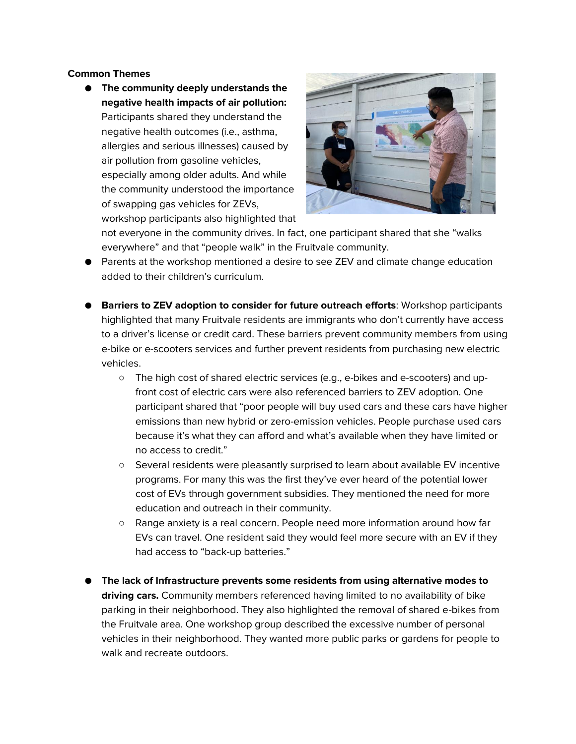#### **Common Themes**

● **The community deeply understands the negative health impacts of air pollution:** Participants shared they understand the negative health outcomes (i.e., asthma, allergies and serious illnesses) caused by air pollution from gasoline vehicles, especially among older adults. And while the community understood the importance of swapping gas vehicles for ZEVs, workshop participants also highlighted that



not everyone in the community drives. In fact, one participant shared that she "walks everywhere" and that "people walk" in the Fruitvale community.

- Parents at the workshop mentioned a desire to see ZEV and climate change education added to their children's curriculum.
- **Barriers to ZEV adoption to consider for future outreach efforts**: Workshop participants highlighted that many Fruitvale residents are immigrants who don't currently have access to a driver's license or credit card. These barriers prevent community members from using e-bike or e-scooters services and further prevent residents from purchasing new electric vehicles.
	- The high cost of shared electric services (e.g., e-bikes and e-scooters) and upfront cost of electric cars were also referenced barriers to ZEV adoption. One participant shared that "poor people will buy used cars and these cars have higher emissions than new hybrid or zero-emission vehicles. People purchase used cars because it's what they can afford and what's available when they have limited or no access to credit."
	- Several residents were pleasantly surprised to learn about available EV incentive programs. For many this was the first they've ever heard of the potential lower cost of EVs through government subsidies. They mentioned the need for more education and outreach in their community.
	- Range anxiety is a real concern. People need more information around how far EVs can travel. One resident said they would feel more secure with an EV if they had access to "back-up batteries."
- **The lack of Infrastructure prevents some residents from using alternative modes to driving cars.** Community members referenced having limited to no availability of bike parking in their neighborhood. They also highlighted the removal of shared e-bikes from the Fruitvale area. One workshop group described the excessive number of personal vehicles in their neighborhood. They wanted more public parks or gardens for people to walk and recreate outdoors.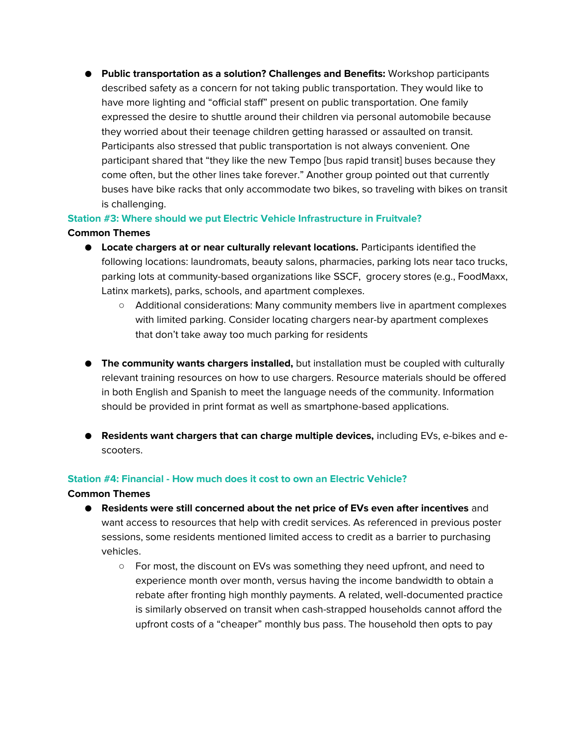● **Public transportation as a solution? Challenges and Benefits:** Workshop participants described safety as a concern for not taking public transportation. They would like to have more lighting and "official staff" present on public transportation. One family expressed the desire to shuttle around their children via personal automobile because they worried about their teenage children getting harassed or assaulted on transit. Participants also stressed that public transportation is not always convenient. One participant shared that "they like the new Tempo [bus rapid transit] buses because they come often, but the other lines take forever." Another group pointed out that currently buses have bike racks that only accommodate two bikes, so traveling with bikes on transit is challenging.

#### **Station #3: Where should we put Electric Vehicle Infrastructure in Fruitvale? Common Themes**

- **Locate chargers at or near culturally relevant locations.** Participants identified the following locations: laundromats, beauty salons, pharmacies, parking lots near taco trucks, parking lots at community-based organizations like SSCF, grocery stores (e.g., FoodMaxx, Latinx markets), parks, schools, and apartment complexes.
	- Additional considerations: Many community members live in apartment complexes with limited parking. Consider locating chargers near-by apartment complexes that don't take away too much parking for residents
- **The community wants chargers installed,** but installation must be coupled with culturally relevant training resources on how to use chargers. Resource materials should be offered in both English and Spanish to meet the language needs of the community. Information should be provided in print format as well as smartphone-based applications.
- **Residents want chargers that can charge multiple devices,** including EVs, e-bikes and escooters.

#### **Station #4: Financial - How much does it cost to own an Electric Vehicle?**

#### **Common Themes**

- **Residents were still concerned about the net price of EVs even after incentives** and want access to resources that help with credit services. As referenced in previous poster sessions, some residents mentioned limited access to credit as a barrier to purchasing vehicles.
	- For most, the discount on EVs was something they need upfront, and need to experience month over month, versus having the income bandwidth to obtain a rebate after fronting high monthly payments. A related, well-documented practice is similarly observed on transit when cash-strapped households cannot afford the upfront costs of a "cheaper" monthly bus pass. The household then opts to pay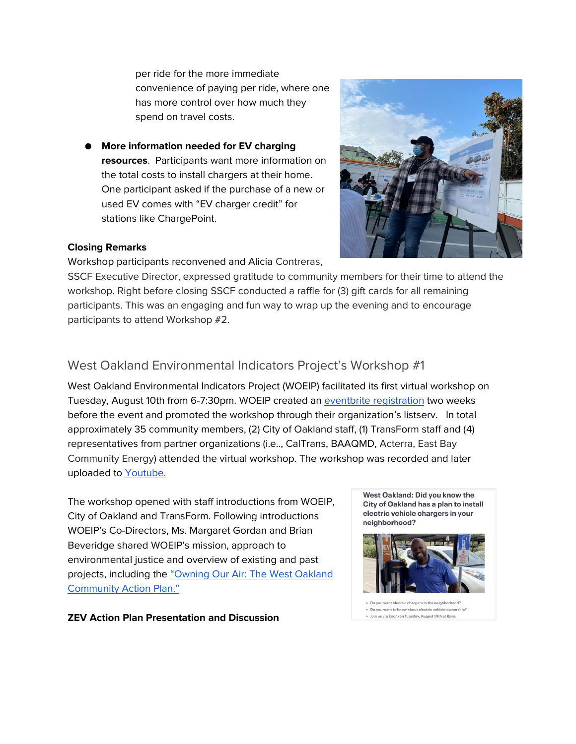per ride for the more immediate convenience of paying per ride, where one has more control over how much they spend on travel costs.

**More information needed for EV charging resources**. Participants want more information on the total costs to install chargers at their home. One participant asked if the purchase of a new or used EV comes with "EV charger credit" for stations like ChargePoint.



#### **Closing Remarks**

Workshop participants reconvened and Alicia Contreras,

SSCF Executive Director, expressed gratitude to community members for their time to attend the workshop. Right before closing SSCF conducted a raffle for (3) gift cards for all remaining participants. This was an engaging and fun way to wrap up the evening and to encourage participants to attend Workshop #2.

### <span id="page-6-0"></span>West Oakland Environmental Indicators Project's Workshop #1

West Oakland Environmental Indicators Project (WOEIP) facilitated its first virtual workshop on Tuesday, August 10th from 6-7:30pm. WOEIP created an [eventbrite registration](https://mailchi.mp/54072f707057/youre-invited-electric-vehicles-in-west-oakland?e=%5BUNIQID%5D) two weeks before the event and promoted the workshop through their organization's listserv. In total approximately 35 community members, (2) City of Oakland staff, (1) TransForm staff and (4) representatives from partner organizations (i.e.., CalTrans, BAAQMD, Acterra, East Bay Community Energy) attended the virtual workshop. The workshop was recorded and later uploaded to **Youtube**.

The workshop opened with staff introductions from WOEIP, City of Oakland and TransForm. Following introductions WOEIP's Co-Directors, Ms. Margaret Gordan and Brian Beveridge shared WOEIP's mission, approach to environmental justice and overview of existing and past projects, including the ["Owning Our Air: The West Oakland](https://www.baaqmd.gov/community-health/community-health-protection-program/west-oakland-community-action-plan)  [Community Action Plan."](https://www.baaqmd.gov/community-health/community-health-protection-program/west-oakland-community-action-plan)

**ZEV Action Plan Presentation and Discussion** 

West Oakland: Did you know the City of Oakland has a plan to install electric vehicle chargers in your neighborhood?



. Do you want to know about electric vehicle ownership · Join us via Zoom on Tuesday, August 10th at 6pm.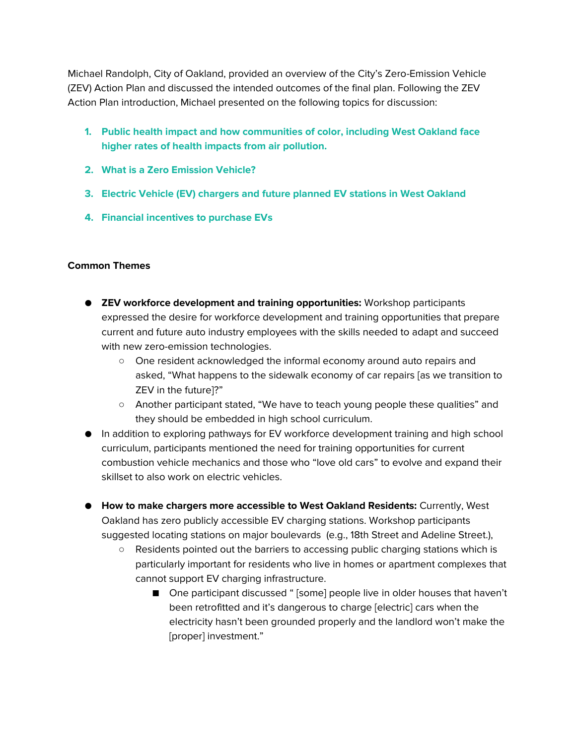Michael Randolph, City of Oakland, provided an overview of the City's Zero-Emission Vehicle (ZEV) Action Plan and discussed the intended outcomes of the final plan. Following the ZEV Action Plan introduction, Michael presented on the following topics for discussion:

- **1. Public health impact and how communities of color, including West Oakland face higher rates of health impacts from air pollution.**
- **2. What is a Zero Emission Vehicle?**
- **3. Electric Vehicle (EV) chargers and future planned EV stations in West Oakland**
- **4. Financial incentives to purchase EVs**

#### **Common Themes**

- **ZEV workforce development and training opportunities:** Workshop participants expressed the desire for workforce development and training opportunities that prepare current and future auto industry employees with the skills needed to adapt and succeed with new zero-emission technologies.
	- One resident acknowledged the informal economy around auto repairs and asked, "What happens to the sidewalk economy of car repairs [as we transition to ZEV in the future]?"
	- Another participant stated, "We have to teach young people these qualities" and they should be embedded in high school curriculum.
- In addition to exploring pathways for EV workforce development training and high school curriculum, participants mentioned the need for training opportunities for current combustion vehicle mechanics and those who "love old cars" to evolve and expand their skillset to also work on electric vehicles.
- **How to make chargers more accessible to West Oakland Residents:** Currently, West Oakland has zero publicly accessible EV charging stations. Workshop participants suggested locating stations on major boulevards (e.g., 18th Street and Adeline Street.),
	- Residents pointed out the barriers to accessing public charging stations which is particularly important for residents who live in homes or apartment complexes that cannot support EV charging infrastructure.
		- One participant discussed " [some] people live in older houses that haven't been retrofitted and it's dangerous to charge [electric] cars when the electricity hasn't been grounded properly and the landlord won't make the [proper] investment."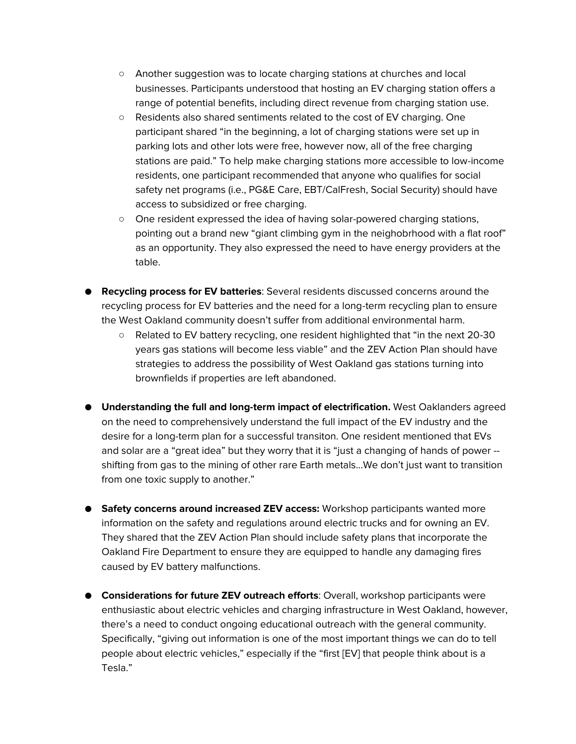- Another suggestion was to locate charging stations at churches and local businesses. Participants understood that hosting an EV charging station offers a range of potential benefits, including direct revenue from charging station use.
- Residents also shared sentiments related to the cost of EV charging. One participant shared "in the beginning, a lot of charging stations were set up in parking lots and other lots were free, however now, all of the free charging stations are paid." To help make charging stations more accessible to low-income residents, one participant recommended that anyone who qualifies for social safety net programs (i.e., PG&E Care, EBT/CalFresh, Social Security) should have access to subsidized or free charging.
- One resident expressed the idea of having solar-powered charging stations, pointing out a brand new "giant climbing gym in the neighobrhood with a flat roof" as an opportunity. They also expressed the need to have energy providers at the table.
- **Recycling process for EV batteries**: Several residents discussed concerns around the recycling process for EV batteries and the need for a long-term recycling plan to ensure the West Oakland community doesn't suffer from additional environmental harm.
	- Related to EV battery recycling, one resident highlighted that "in the next 20-30 years gas stations will become less viable" and the ZEV Action Plan should have strategies to address the possibility of West Oakland gas stations turning into brownfields if properties are left abandoned.
- **Understanding the full and long-term impact of electrification.** West Oaklanders agreed on the need to comprehensively understand the full impact of the EV industry and the desire for a long-term plan for a successful transiton. One resident mentioned that EVs and solar are a "great idea" but they worry that it is "just a changing of hands of power - shifting from gas to the mining of other rare Earth metals...We don't just want to transition from one toxic supply to another."
- **Safety concerns around increased ZEV access:** Workshop participants wanted more information on the safety and regulations around electric trucks and for owning an EV. They shared that the ZEV Action Plan should include safety plans that incorporate the Oakland Fire Department to ensure they are equipped to handle any damaging fires caused by EV battery malfunctions.
- **Considerations for future ZEV outreach efforts**: Overall, workshop participants were enthusiastic about electric vehicles and charging infrastructure in West Oakland, however, there's a need to conduct ongoing educational outreach with the general community. Specifically, "giving out information is one of the most important things we can do to tell people about electric vehicles," especially if the "first [EV] that people think about is a Tesla."